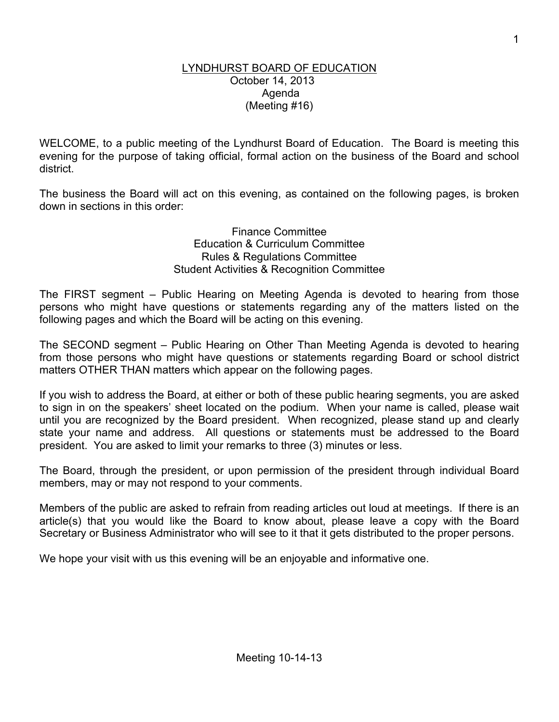#### LYNDHURST BOARD OF EDUCATION October 14, 2013 Agenda (Meeting #16)

WELCOME, to a public meeting of the Lyndhurst Board of Education. The Board is meeting this evening for the purpose of taking official, formal action on the business of the Board and school district.

The business the Board will act on this evening, as contained on the following pages, is broken down in sections in this order:

> Finance Committee Education & Curriculum Committee Rules & Regulations Committee Student Activities & Recognition Committee

The FIRST segment – Public Hearing on Meeting Agenda is devoted to hearing from those persons who might have questions or statements regarding any of the matters listed on the following pages and which the Board will be acting on this evening.

The SECOND segment – Public Hearing on Other Than Meeting Agenda is devoted to hearing from those persons who might have questions or statements regarding Board or school district matters OTHER THAN matters which appear on the following pages.

If you wish to address the Board, at either or both of these public hearing segments, you are asked to sign in on the speakers' sheet located on the podium. When your name is called, please wait until you are recognized by the Board president. When recognized, please stand up and clearly state your name and address. All questions or statements must be addressed to the Board president. You are asked to limit your remarks to three (3) minutes or less.

The Board, through the president, or upon permission of the president through individual Board members, may or may not respond to your comments.

Members of the public are asked to refrain from reading articles out loud at meetings. If there is an article(s) that you would like the Board to know about, please leave a copy with the Board Secretary or Business Administrator who will see to it that it gets distributed to the proper persons.

We hope your visit with us this evening will be an enjoyable and informative one.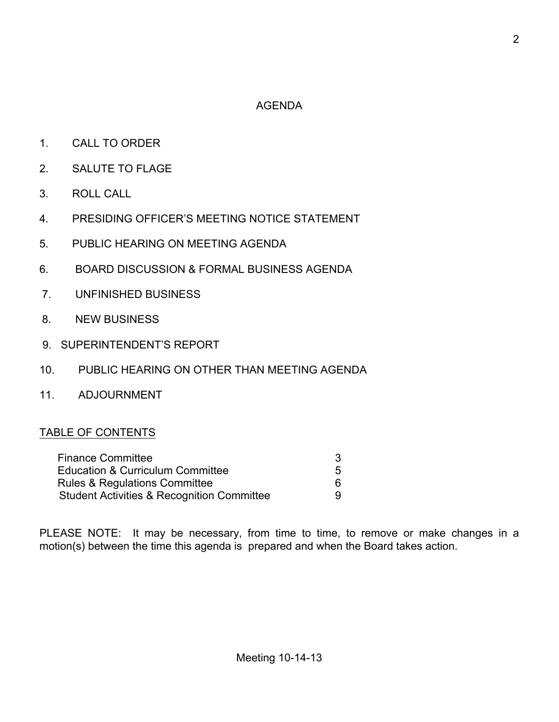# AGENDA

- 1. CALL TO ORDER
- 2. SALUTE TO FLAGE
- 3. ROLL CALL
- 4. PRESIDING OFFICER'S MEETING NOTICE STATEMENT
- 5. PUBLIC HEARING ON MEETING AGENDA
- 6. BOARD DISCUSSION & FORMAL BUSINESS AGENDA
- 7. UNFINISHED BUSINESS
- 8. NEW BUSINESS
- 9. SUPERINTENDENT'S REPORT
- 10. PUBLIC HEARING ON OTHER THAN MEETING AGENDA
- 11. ADJOURNMENT

## TABLE OF CONTENTS

| <b>Finance Committee</b>                              |   |
|-------------------------------------------------------|---|
| Education & Curriculum Committee                      | 5 |
| <b>Rules &amp; Regulations Committee</b>              | հ |
| <b>Student Activities &amp; Recognition Committee</b> | 9 |

PLEASE NOTE: It may be necessary, from time to time, to remove or make changes in a motion(s) between the time this agenda is prepared and when the Board takes action.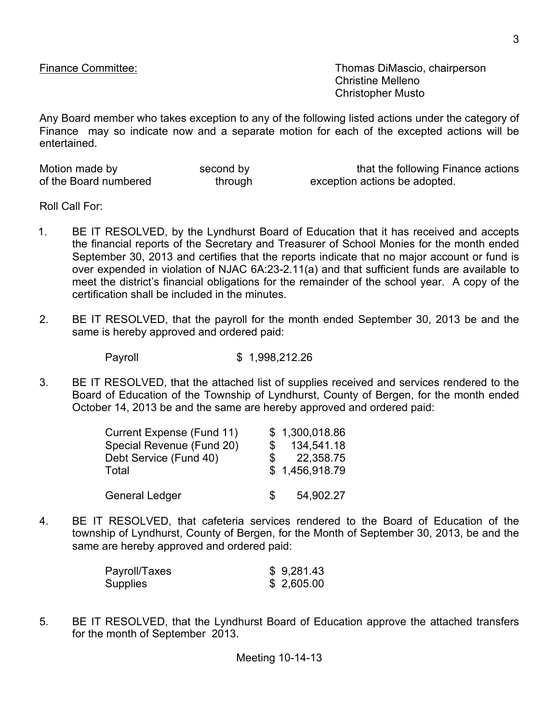Finance Committee: Thomas DiMascio, chairperson Christine Melleno Christopher Musto

Any Board member who takes exception to any of the following listed actions under the category of Finance may so indicate now and a separate motion for each of the excepted actions will be entertained.

| Motion made by        | second by | that the following Finance actions |
|-----------------------|-----------|------------------------------------|
| of the Board numbered | through   | exception actions be adopted.      |

Roll Call For:

- 1. BE IT RESOLVED, by the Lyndhurst Board of Education that it has received and accepts the financial reports of the Secretary and Treasurer of School Monies for the month ended September 30, 2013 and certifies that the reports indicate that no major account or fund is over expended in violation of NJAC 6A:23-2.11(a) and that sufficient funds are available to meet the district's financial obligations for the remainder of the school year. A copy of the certification shall be included in the minutes.
- 2. BE IT RESOLVED, that the payroll for the month ended September 30, 2013 be and the same is hereby approved and ordered paid:

Payroll \$ 1,998,212.26

3. BE IT RESOLVED, that the attached list of supplies received and services rendered to the Board of Education of the Township of Lyndhurst, County of Bergen, for the month ended October 14, 2013 be and the same are hereby approved and ordered paid:

| Current Expense (Fund 11) | \$1,300,018.86 |
|---------------------------|----------------|
| Special Revenue (Fund 20) | 134,541.18     |
| Debt Service (Fund 40)    | 22,358.75      |
| Total                     | \$1,456,918.79 |
| <b>General Ledger</b>     | 54,902.27      |

4. BE IT RESOLVED, that cafeteria services rendered to the Board of Education of the township of Lyndhurst, County of Bergen, for the Month of September 30, 2013, be and the same are hereby approved and ordered paid:

| Payroll/Taxes | \$9,281.43 |
|---------------|------------|
| Supplies      | \$2,605.00 |

5. BE IT RESOLVED, that the Lyndhurst Board of Education approve the attached transfers for the month of September 2013.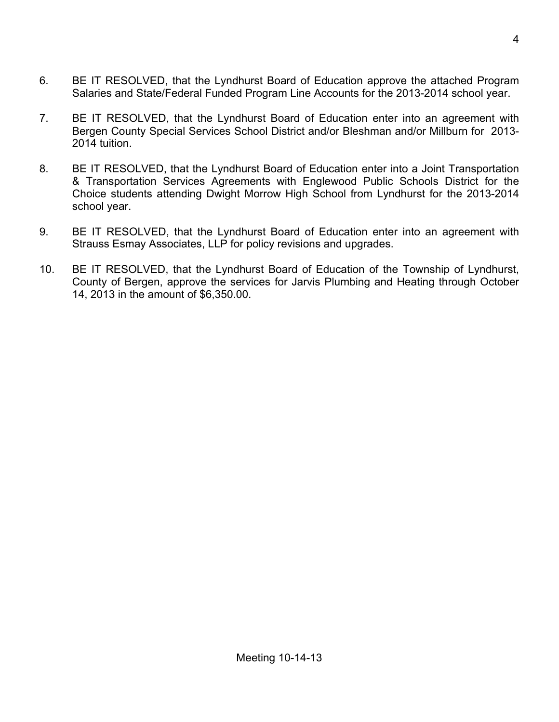- 6. BE IT RESOLVED, that the Lyndhurst Board of Education approve the attached Program Salaries and State/Federal Funded Program Line Accounts for the 2013-2014 school year.
- 7. BE IT RESOLVED, that the Lyndhurst Board of Education enter into an agreement with Bergen County Special Services School District and/or Bleshman and/or Millburn for 2013- 2014 tuition.
- 8. BE IT RESOLVED, that the Lyndhurst Board of Education enter into a Joint Transportation & Transportation Services Agreements with Englewood Public Schools District for the Choice students attending Dwight Morrow High School from Lyndhurst for the 2013-2014 school year.
- 9. BE IT RESOLVED, that the Lyndhurst Board of Education enter into an agreement with Strauss Esmay Associates, LLP for policy revisions and upgrades.
- 10. BE IT RESOLVED, that the Lyndhurst Board of Education of the Township of Lyndhurst, County of Bergen, approve the services for Jarvis Plumbing and Heating through October 14, 2013 in the amount of \$6,350.00.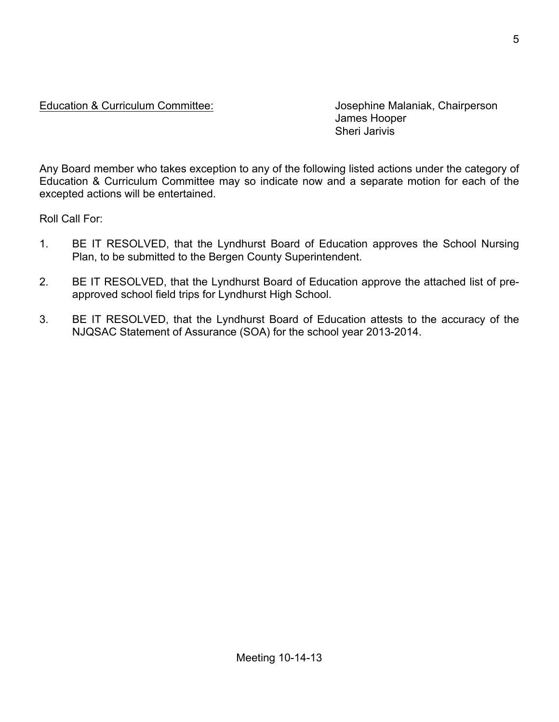## Education & Curriculum Committee: Josephine Malaniak, Chairperson

James Hooper Sheri Jarivis

Any Board member who takes exception to any of the following listed actions under the category of Education & Curriculum Committee may so indicate now and a separate motion for each of the excepted actions will be entertained.

Roll Call For:

- 1. BE IT RESOLVED, that the Lyndhurst Board of Education approves the School Nursing Plan, to be submitted to the Bergen County Superintendent.
- 2. BE IT RESOLVED, that the Lyndhurst Board of Education approve the attached list of preapproved school field trips for Lyndhurst High School.
- 3. BE IT RESOLVED, that the Lyndhurst Board of Education attests to the accuracy of the NJQSAC Statement of Assurance (SOA) for the school year 2013-2014.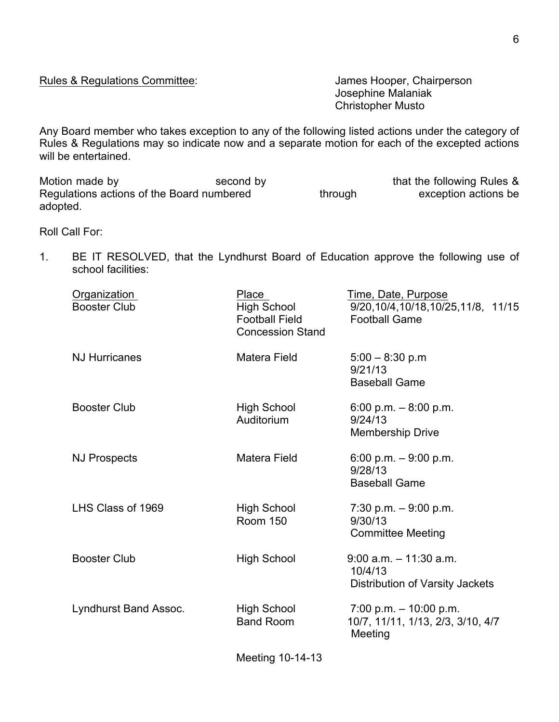Rules & Regulations Committee: James Hooper, Chairperson

Josephine Malaniak Christopher Musto

Any Board member who takes exception to any of the following listed actions under the category of Rules & Regulations may so indicate now and a separate motion for each of the excepted actions will be entertained.

Motion made by Second by Second by that the following Rules & Regulations actions of the Board numbered through exception actions be adopted.

Roll Call For:

1. BE IT RESOLVED, that the Lyndhurst Board of Education approve the following use of school facilities:

| Organization<br><b>Booster Club</b> | Place<br><b>High School</b><br><b>Football Field</b><br><b>Concession Stand</b> | Time, Date, Purpose<br>9/20, 10/4, 10/18, 10/25, 11/8, 11/15<br><b>Football Game</b> |
|-------------------------------------|---------------------------------------------------------------------------------|--------------------------------------------------------------------------------------|
| <b>NJ Hurricanes</b>                | <b>Matera Field</b>                                                             | $5:00 - 8:30$ p.m<br>9/21/13<br><b>Baseball Game</b>                                 |
| <b>Booster Club</b>                 | <b>High School</b><br>Auditorium                                                | 6:00 p.m. $-8:00$ p.m.<br>9/24/13<br><b>Membership Drive</b>                         |
| <b>NJ Prospects</b>                 | <b>Matera Field</b>                                                             | 6:00 p.m. $-9:00$ p.m.<br>9/28/13<br><b>Baseball Game</b>                            |
| LHS Class of 1969                   | <b>High School</b><br><b>Room 150</b>                                           | 7:30 p.m. $-9:00$ p.m.<br>9/30/13<br><b>Committee Meeting</b>                        |
| <b>Booster Club</b>                 | <b>High School</b>                                                              | $9:00$ a.m. $-11:30$ a.m.<br>10/4/13<br>Distribution of Varsity Jackets              |
| Lyndhurst Band Assoc.               | <b>High School</b><br><b>Band Room</b>                                          | $7:00$ p.m. $-10:00$ p.m.<br>10/7, 11/11, 1/13, 2/3, 3/10, 4/7<br>Meeting            |
|                                     |                                                                                 |                                                                                      |

Meeting 10-14-13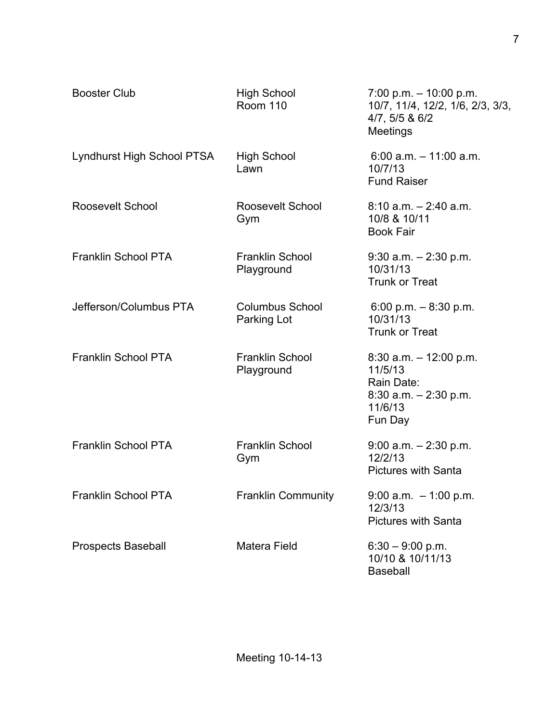| <b>Booster Club</b>        | <b>High School</b><br><b>Room 110</b> | $7:00$ p.m. $-10:00$ p.m.<br>10/7, 11/4, 12/2, 1/6, 2/3, 3/3,<br>4/7, 5/5 & 6/2<br>Meetings          |
|----------------------------|---------------------------------------|------------------------------------------------------------------------------------------------------|
| Lyndhurst High School PTSA | <b>High School</b><br>Lawn            | $6:00$ a.m. $-11:00$ a.m.<br>10/7/13<br><b>Fund Raiser</b>                                           |
| Roosevelt School           | Roosevelt School<br>Gym               | $8:10$ a.m. $-2:40$ a.m.<br>10/8 & 10/11<br><b>Book Fair</b>                                         |
| <b>Franklin School PTA</b> | <b>Franklin School</b><br>Playground  | $9:30$ a.m. $-2:30$ p.m.<br>10/31/13<br><b>Trunk or Treat</b>                                        |
| Jefferson/Columbus PTA     | <b>Columbus School</b><br>Parking Lot | 6:00 p.m. $-8:30$ p.m.<br>10/31/13<br><b>Trunk or Treat</b>                                          |
| <b>Franklin School PTA</b> | <b>Franklin School</b><br>Playground  | $8:30$ a.m. $-12:00$ p.m.<br>11/5/13<br>Rain Date:<br>$8:30$ a.m. $-2:30$ p.m.<br>11/6/13<br>Fun Day |
| <b>Franklin School PTA</b> | <b>Franklin School</b><br>Gym         | $9:00$ a.m. $-2:30$ p.m.<br>12/2/13<br><b>Pictures with Santa</b>                                    |
| Franklin School PTA        | <b>Franklin Community</b>             | $9:00$ a.m. $-1:00$ p.m.<br>12/3/13<br><b>Pictures with Santa</b>                                    |
| <b>Prospects Baseball</b>  | <b>Matera Field</b>                   | $6:30 - 9:00$ p.m.<br>10/10 & 10/11/13<br><b>Baseball</b>                                            |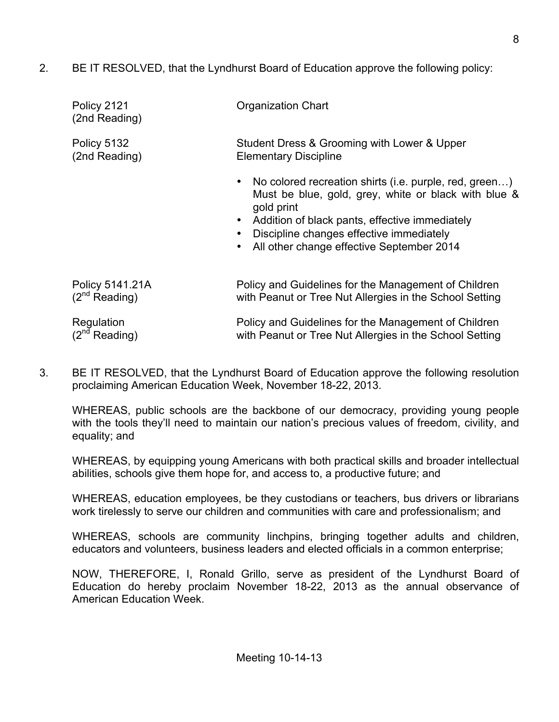2. BE IT RESOLVED, that the Lyndhurst Board of Education approve the following policy:

| Policy 2121<br>(2nd Reading) | Organization Chart                                                                                                                                                                                                                                                                   |
|------------------------------|--------------------------------------------------------------------------------------------------------------------------------------------------------------------------------------------------------------------------------------------------------------------------------------|
| Policy 5132                  | Student Dress & Grooming with Lower & Upper                                                                                                                                                                                                                                          |
| (2nd Reading)                | <b>Elementary Discipline</b>                                                                                                                                                                                                                                                         |
|                              | No colored recreation shirts (i.e. purple, red, green)<br>$\bullet$<br>Must be blue, gold, grey, white or black with blue &<br>gold print<br>Addition of black pants, effective immediately<br>Discipline changes effective immediately<br>All other change effective September 2014 |
| Policy 5141.21A              | Policy and Guidelines for the Management of Children                                                                                                                                                                                                                                 |
| $(2^{nd}$ Reading)           | with Peanut or Tree Nut Allergies in the School Setting                                                                                                                                                                                                                              |
| Regulation                   | Policy and Guidelines for the Management of Children                                                                                                                                                                                                                                 |
| (2 <sup>nd</sup> Reading)    | with Peanut or Tree Nut Allergies in the School Setting                                                                                                                                                                                                                              |

3. BE IT RESOLVED, that the Lyndhurst Board of Education approve the following resolution proclaiming American Education Week, November 18-22, 2013.

WHEREAS, public schools are the backbone of our democracy, providing young people with the tools they'll need to maintain our nation's precious values of freedom, civility, and equality; and

WHEREAS, by equipping young Americans with both practical skills and broader intellectual abilities, schools give them hope for, and access to, a productive future; and

WHEREAS, education employees, be they custodians or teachers, bus drivers or librarians work tirelessly to serve our children and communities with care and professionalism; and

WHEREAS, schools are community linchpins, bringing together adults and children, educators and volunteers, business leaders and elected officials in a common enterprise;

NOW, THEREFORE, I, Ronald Grillo, serve as president of the Lyndhurst Board of Education do hereby proclaim November 18-22, 2013 as the annual observance of American Education Week.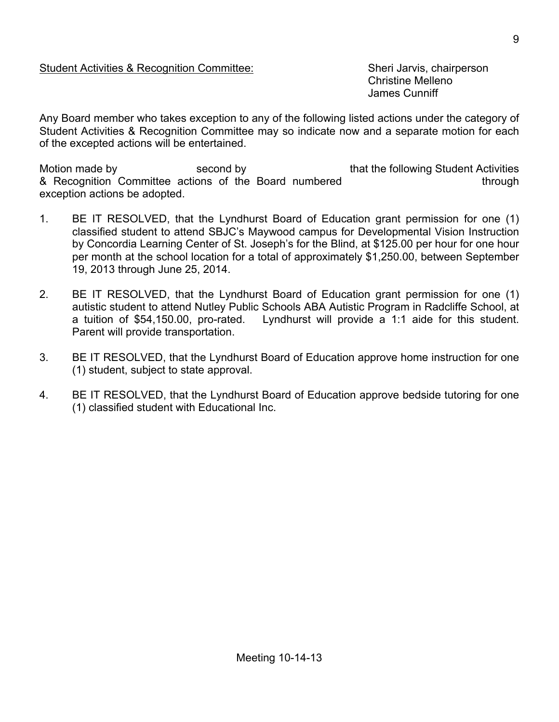### Student Activities & Recognition Committee: Sheri Jarvis, chairperson

Christine Melleno James Cunniff

Any Board member who takes exception to any of the following listed actions under the category of Student Activities & Recognition Committee may so indicate now and a separate motion for each of the excepted actions will be entertained.

Motion made by second by second by that the following Student Activities & Recognition Committee actions of the Board numbered through exception actions be adopted.

- 1. BE IT RESOLVED, that the Lyndhurst Board of Education grant permission for one (1) classified student to attend SBJC's Maywood campus for Developmental Vision Instruction by Concordia Learning Center of St. Joseph's for the Blind, at \$125.00 per hour for one hour per month at the school location for a total of approximately \$1,250.00, between September 19, 2013 through June 25, 2014.
- 2. BE IT RESOLVED, that the Lyndhurst Board of Education grant permission for one (1) autistic student to attend Nutley Public Schools ABA Autistic Program in Radcliffe School, at a tuition of \$54,150.00, pro-rated. Lyndhurst will provide a 1:1 aide for this student. Parent will provide transportation.
- 3. BE IT RESOLVED, that the Lyndhurst Board of Education approve home instruction for one (1) student, subject to state approval.
- 4. BE IT RESOLVED, that the Lyndhurst Board of Education approve bedside tutoring for one (1) classified student with Educational Inc.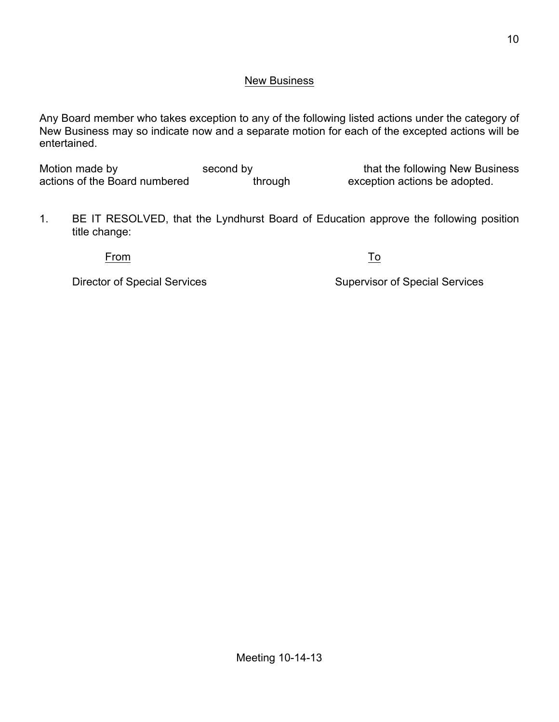### New Business

Any Board member who takes exception to any of the following listed actions under the category of New Business may so indicate now and a separate motion for each of the excepted actions will be entertained.

Motion made by second by second by that the following New Business<br>actions of the Board numbered through exception actions be adopted. actions of the Board numbered

1. BE IT RESOLVED, that the Lyndhurst Board of Education approve the following position title change:

From To

Director of Special Services Supervisor of Special Services